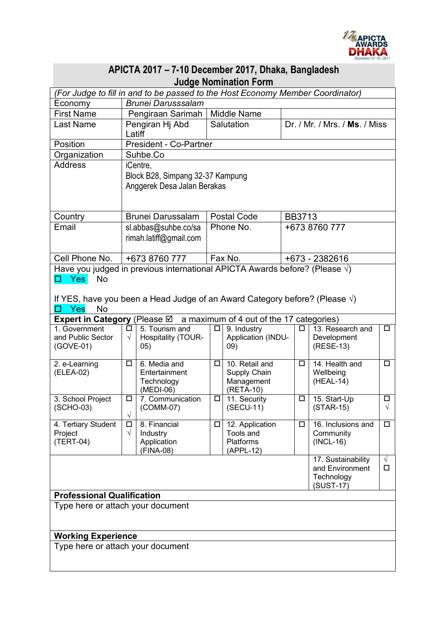

| APICTA 2017 - 7-10 December 2017, Dhaka, Bangladesh                                                           |                                  |                          |           |                              |               |                                 |                |  |
|---------------------------------------------------------------------------------------------------------------|----------------------------------|--------------------------|-----------|------------------------------|---------------|---------------------------------|----------------|--|
| <b>Judge Nomination Form</b>                                                                                  |                                  |                          |           |                              |               |                                 |                |  |
| (For Judge to fill in and to be passed to the Host Economy Member Coordinator)                                |                                  |                          |           |                              |               |                                 |                |  |
| Economy                                                                                                       | <b>Brunei Darusssalam</b>        |                          |           |                              |               |                                 |                |  |
| <b>First Name</b>                                                                                             | Pengiraan Sarimah   Middle Name  |                          |           |                              |               |                                 |                |  |
| <b>Last Name</b>                                                                                              | Pengiran Hj Abd<br>Latiff        |                          |           | Salutation                   |               | Dr. / Mr. / Mrs. / Ms. / Miss   |                |  |
| Position                                                                                                      | President - Co-Partner           |                          |           |                              |               |                                 |                |  |
| Organization                                                                                                  | Suhbe.Co                         |                          |           |                              |               |                                 |                |  |
| <b>Address</b>                                                                                                | iCentre,                         |                          |           |                              |               |                                 |                |  |
|                                                                                                               | Block B28, Simpang 32-37 Kampung |                          |           |                              |               |                                 |                |  |
|                                                                                                               | Anggerek Desa Jalan Berakas      |                          |           |                              |               |                                 |                |  |
|                                                                                                               |                                  |                          |           |                              |               |                                 |                |  |
| Country                                                                                                       | <b>Brunei Darussalam</b>         |                          |           | Postal Code                  |               | <b>BB3713</b>                   |                |  |
| Email                                                                                                         | sl.abbas@suhbe.co/sa             |                          | Phone No. |                              | +673 8760 777 |                                 |                |  |
|                                                                                                               |                                  | rimah.latiff@gmail.com   |           |                              |               |                                 |                |  |
|                                                                                                               |                                  |                          |           |                              |               |                                 |                |  |
| Cell Phone No.                                                                                                | +673 8760 777                    |                          |           | Fax No.                      |               | +673 - 2382616                  |                |  |
| Have you judged in previous international APICTA Awards before? (Please $\sqrt{ }$ )                          |                                  |                          |           |                              |               |                                 |                |  |
| <b>Yes</b><br>No<br>H                                                                                         |                                  |                          |           |                              |               |                                 |                |  |
|                                                                                                               |                                  |                          |           |                              |               |                                 |                |  |
| If YES, have you been a Head Judge of an Award Category before? (Please $\sqrt{ }$ )<br><b>Yes</b><br>No<br>п |                                  |                          |           |                              |               |                                 |                |  |
| <b>Expert in Category</b> (Please $\boxtimes$ a maximum of 4 out of the 17 categories)                        |                                  |                          |           |                              |               |                                 |                |  |
| 1. Government                                                                                                 | □                                | 5. Tourism and           | □         | 9. Industry                  | □             | 13. Research and                | $\Box$         |  |
| and Public Sector                                                                                             | $\sqrt{}$                        | Hospitality (TOUR-       |           | Application (INDU-           |               | Development                     |                |  |
| (GOVE-01)                                                                                                     |                                  | (05)                     |           | (09)                         |               | (RESE-13)                       |                |  |
| $2.$ e-Learning                                                                                               | ◻                                | 6. Media and             | □         | 10. Retail and               | $\Box$        | 14. Health and                  | $\Box$         |  |
| (ELEA-02)                                                                                                     |                                  | Entertainment            |           | Supply Chain                 |               | Wellbeing                       |                |  |
|                                                                                                               |                                  | Technology<br>(MEDI-06)  |           | Management                   |               | (HEAL-14)                       |                |  |
| 3. School Project                                                                                             | $\Box$                           | 7. Communication         | $\Box$    | (RETA-10)<br>11. Security    | $\Box$        | 15. Start-Up                    | $\Box$         |  |
| (SCHO-03)                                                                                                     |                                  | (COMM-07)                |           | (SECU-11)                    |               | $(STAR-15)$                     | $\sqrt{}$      |  |
|                                                                                                               | $\sqrt{}$                        |                          |           |                              |               |                                 |                |  |
| 4. Tertiary Student<br>Project                                                                                | □<br>$\sqrt{}$                   | 8. Financial<br>Industry | □         | 12. Application<br>Tools and | $\Box$        | 16. Inclusions and<br>Community | $\Box$         |  |
| (TERT-04)                                                                                                     |                                  | Application              |           | Platforms                    |               | $(INCL-16)$                     |                |  |
|                                                                                                               |                                  | (FINA-08)                |           | (APPL-12)                    |               |                                 |                |  |
|                                                                                                               |                                  |                          |           |                              |               | 17. Sustainability              | $\sqrt{}$<br>□ |  |
|                                                                                                               |                                  |                          |           |                              |               | and Environment<br>Technology   |                |  |
|                                                                                                               |                                  |                          |           |                              |               | (SUST-17)                       |                |  |
| <b>Professional Qualification</b>                                                                             |                                  |                          |           |                              |               |                                 |                |  |
| Type here or attach your document                                                                             |                                  |                          |           |                              |               |                                 |                |  |
|                                                                                                               |                                  |                          |           |                              |               |                                 |                |  |
| <b>Working Experience</b>                                                                                     |                                  |                          |           |                              |               |                                 |                |  |
| Type here or attach your document                                                                             |                                  |                          |           |                              |               |                                 |                |  |
|                                                                                                               |                                  |                          |           |                              |               |                                 |                |  |
|                                                                                                               |                                  |                          |           |                              |               |                                 |                |  |